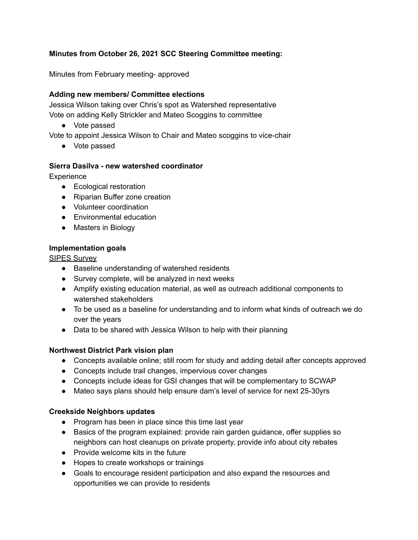# **Minutes from October 26, 2021 SCC Steering Committee meeting:**

Minutes from February meeting- approved

### **Adding new members/ Committee elections**

Jessica Wilson taking over Chris's spot as Watershed representative Vote on adding Kelly Strickler and Mateo Scoggins to committee

● Vote passed

Vote to appoint Jessica Wilson to Chair and Mateo scoggins to vice-chair

● Vote passed

## **Sierra Dasilva - new watershed coordinator**

**Experience** 

- Ecological restoration
- Riparian Buffer zone creation
- Volunteer coordination
- Environmental education
- Masters in Biology

#### **Implementation goals**

SIPES Survey

- Baseline understanding of watershed residents
- Survey complete, will be analyzed in next weeks
- Amplify existing education material, as well as outreach additional components to watershed stakeholders
- To be used as a baseline for understanding and to inform what kinds of outreach we do over the years
- Data to be shared with Jessica Wilson to help with their planning

#### **Northwest District Park vision plan**

- Concepts available online; still room for study and adding detail after concepts approved
- Concepts include trail changes, impervious cover changes
- Concepts include ideas for GSI changes that will be complementary to SCWAP
- Mateo says plans should help ensure dam's level of service for next 25-30yrs

#### **Creekside Neighbors updates**

- Program has been in place since this time last year
- Basics of the program explained: provide rain garden guidance, offer supplies so neighbors can host cleanups on private property, provide info about city rebates
- Provide welcome kits in the future
- Hopes to create workshops or trainings
- Goals to encourage resident participation and also expand the resources and opportunities we can provide to residents